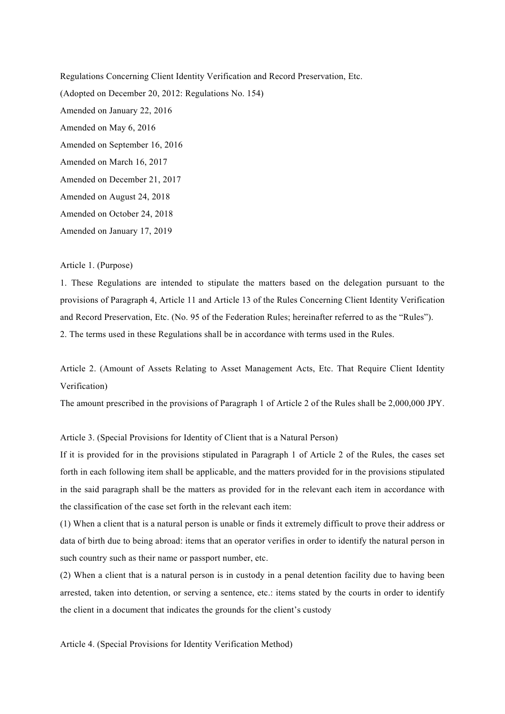Regulations Concerning Client Identity Verification and Record Preservation, Etc. (Adopted on December 20, 2012: Regulations No. 154) Amended on January 22, 2016 Amended on May 6, 2016 Amended on September 16, 2016 Amended on March 16, 2017 Amended on December 21, 2017 Amended on August 24, 2018 Amended on October 24, 2018 Amended on January 17, 2019

# Article 1. (Purpose)

1. These Regulations are intended to stipulate the matters based on the delegation pursuant to the provisions of Paragraph 4, Article 11 and Article 13 of the Rules Concerning Client Identity Verification and Record Preservation, Etc. (No. 95 of the Federation Rules; hereinafter referred to as the "Rules"). 2. The terms used in these Regulations shall be in accordance with terms used in the Rules.

Article 2. (Amount of Assets Relating to Asset Management Acts, Etc. That Require Client Identity Verification)

The amount prescribed in the provisions of Paragraph 1 of Article 2 of the Rules shall be 2,000,000 JPY.

### Article 3. (Special Provisions for Identity of Client that is a Natural Person)

If it is provided for in the provisions stipulated in Paragraph 1 of Article 2 of the Rules, the cases set forth in each following item shall be applicable, and the matters provided for in the provisions stipulated in the said paragraph shall be the matters as provided for in the relevant each item in accordance with the classification of the case set forth in the relevant each item:

(1) When a client that is a natural person is unable or finds it extremely difficult to prove their address or data of birth due to being abroad: items that an operator verifies in order to identify the natural person in such country such as their name or passport number, etc.

(2) When a client that is a natural person is in custody in a penal detention facility due to having been arrested, taken into detention, or serving a sentence, etc.: items stated by the courts in order to identify the client in a document that indicates the grounds for the client's custody

Article 4. (Special Provisions for Identity Verification Method)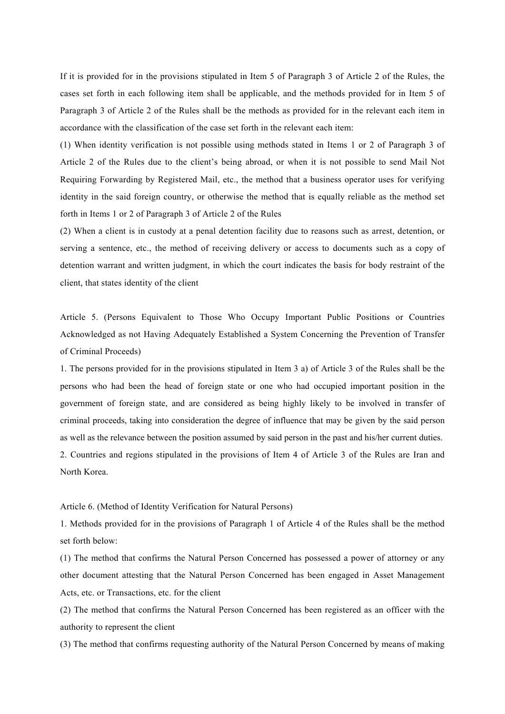If it is provided for in the provisions stipulated in Item 5 of Paragraph 3 of Article 2 of the Rules, the cases set forth in each following item shall be applicable, and the methods provided for in Item 5 of Paragraph 3 of Article 2 of the Rules shall be the methods as provided for in the relevant each item in accordance with the classification of the case set forth in the relevant each item:

(1) When identity verification is not possible using methods stated in Items 1 or 2 of Paragraph 3 of Article 2 of the Rules due to the client's being abroad, or when it is not possible to send Mail Not Requiring Forwarding by Registered Mail, etc., the method that a business operator uses for verifying identity in the said foreign country, or otherwise the method that is equally reliable as the method set forth in Items 1 or 2 of Paragraph 3 of Article 2 of the Rules

(2) When a client is in custody at a penal detention facility due to reasons such as arrest, detention, or serving a sentence, etc., the method of receiving delivery or access to documents such as a copy of detention warrant and written judgment, in which the court indicates the basis for body restraint of the client, that states identity of the client

Article 5. (Persons Equivalent to Those Who Occupy Important Public Positions or Countries Acknowledged as not Having Adequately Established a System Concerning the Prevention of Transfer of Criminal Proceeds)

1. The persons provided for in the provisions stipulated in Item 3 a) of Article 3 of the Rules shall be the persons who had been the head of foreign state or one who had occupied important position in the government of foreign state, and are considered as being highly likely to be involved in transfer of criminal proceeds, taking into consideration the degree of influence that may be given by the said person as well as the relevance between the position assumed by said person in the past and his/her current duties. 2. Countries and regions stipulated in the provisions of Item 4 of Article 3 of the Rules are Iran and North Korea.

#### Article 6. (Method of Identity Verification for Natural Persons)

1. Methods provided for in the provisions of Paragraph 1 of Article 4 of the Rules shall be the method set forth below:

(1) The method that confirms the Natural Person Concerned has possessed a power of attorney or any other document attesting that the Natural Person Concerned has been engaged in Asset Management Acts, etc. or Transactions, etc. for the client

(2) The method that confirms the Natural Person Concerned has been registered as an officer with the authority to represent the client

(3) The method that confirms requesting authority of the Natural Person Concerned by means of making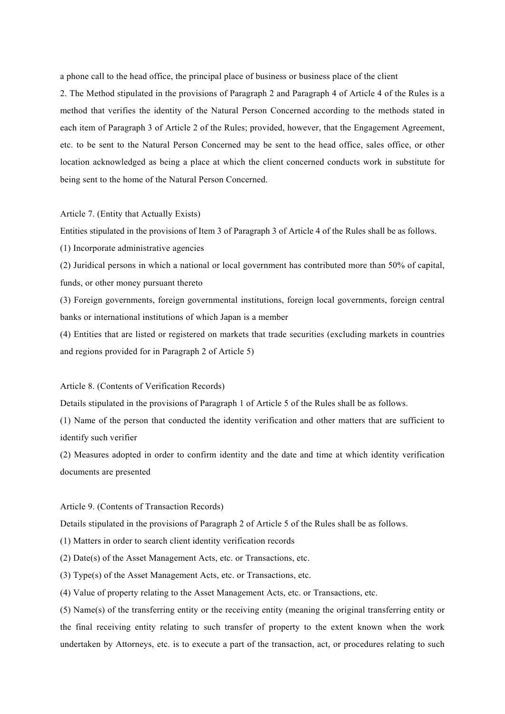a phone call to the head office, the principal place of business or business place of the client

2. The Method stipulated in the provisions of Paragraph 2 and Paragraph 4 of Article 4 of the Rules is a method that verifies the identity of the Natural Person Concerned according to the methods stated in each item of Paragraph 3 of Article 2 of the Rules; provided, however, that the Engagement Agreement, etc. to be sent to the Natural Person Concerned may be sent to the head office, sales office, or other location acknowledged as being a place at which the client concerned conducts work in substitute for being sent to the home of the Natural Person Concerned.

#### Article 7. (Entity that Actually Exists)

Entities stipulated in the provisions of Item 3 of Paragraph 3 of Article 4 of the Rules shall be as follows.

(1) Incorporate administrative agencies

(2) Juridical persons in which a national or local government has contributed more than 50% of capital, funds, or other money pursuant thereto

(3) Foreign governments, foreign governmental institutions, foreign local governments, foreign central banks or international institutions of which Japan is a member

(4) Entities that are listed or registered on markets that trade securities (excluding markets in countries and regions provided for in Paragraph 2 of Article 5)

#### Article 8. (Contents of Verification Records)

Details stipulated in the provisions of Paragraph 1 of Article 5 of the Rules shall be as follows.

(1) Name of the person that conducted the identity verification and other matters that are sufficient to identify such verifier

(2) Measures adopted in order to confirm identity and the date and time at which identity verification documents are presented

### Article 9. (Contents of Transaction Records)

Details stipulated in the provisions of Paragraph 2 of Article 5 of the Rules shall be as follows.

(1) Matters in order to search client identity verification records

(2) Date(s) of the Asset Management Acts, etc. or Transactions, etc.

(3) Type(s) of the Asset Management Acts, etc. or Transactions, etc.

(4) Value of property relating to the Asset Management Acts, etc. or Transactions, etc.

(5) Name(s) of the transferring entity or the receiving entity (meaning the original transferring entity or the final receiving entity relating to such transfer of property to the extent known when the work undertaken by Attorneys, etc. is to execute a part of the transaction, act, or procedures relating to such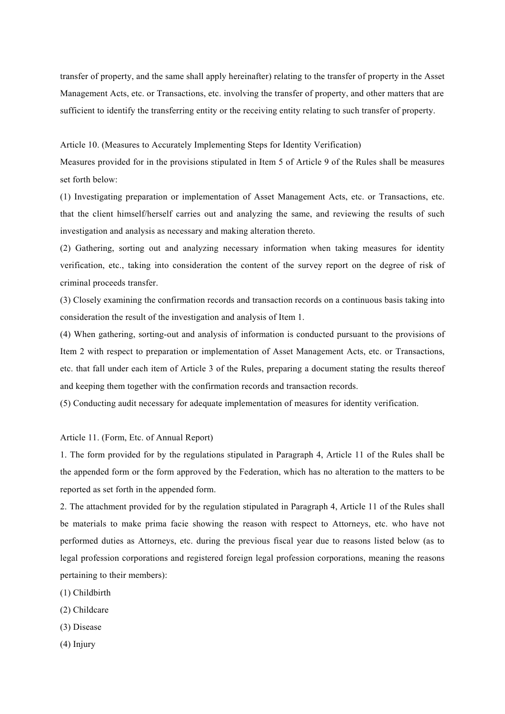transfer of property, and the same shall apply hereinafter) relating to the transfer of property in the Asset Management Acts, etc. or Transactions, etc. involving the transfer of property, and other matters that are sufficient to identify the transferring entity or the receiving entity relating to such transfer of property.

Article 10. (Measures to Accurately Implementing Steps for Identity Verification)

Measures provided for in the provisions stipulated in Item 5 of Article 9 of the Rules shall be measures set forth below:

(1) Investigating preparation or implementation of Asset Management Acts, etc. or Transactions, etc. that the client himself/herself carries out and analyzing the same, and reviewing the results of such investigation and analysis as necessary and making alteration thereto.

(2) Gathering, sorting out and analyzing necessary information when taking measures for identity verification, etc., taking into consideration the content of the survey report on the degree of risk of criminal proceeds transfer.

(3) Closely examining the confirmation records and transaction records on a continuous basis taking into consideration the result of the investigation and analysis of Item 1.

(4) When gathering, sorting-out and analysis of information is conducted pursuant to the provisions of Item 2 with respect to preparation or implementation of Asset Management Acts, etc. or Transactions, etc. that fall under each item of Article 3 of the Rules, preparing a document stating the results thereof and keeping them together with the confirmation records and transaction records.

(5) Conducting audit necessary for adequate implementation of measures for identity verification.

Article 11. (Form, Etc. of Annual Report)

1. The form provided for by the regulations stipulated in Paragraph 4, Article 11 of the Rules shall be the appended form or the form approved by the Federation, which has no alteration to the matters to be reported as set forth in the appended form.

2. The attachment provided for by the regulation stipulated in Paragraph 4, Article 11 of the Rules shall be materials to make prima facie showing the reason with respect to Attorneys, etc. who have not performed duties as Attorneys, etc. during the previous fiscal year due to reasons listed below (as to legal profession corporations and registered foreign legal profession corporations, meaning the reasons pertaining to their members):

- (1) Childbirth
- (2) Childcare
- (3) Disease
- (4) Injury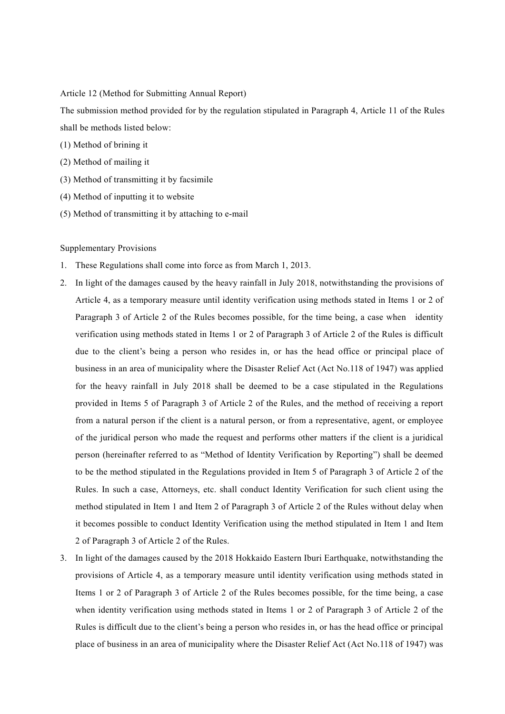Article 12 (Method for Submitting Annual Report)

The submission method provided for by the regulation stipulated in Paragraph 4, Article 11 of the Rules shall be methods listed below:

- (1) Method of brining it
- (2) Method of mailing it
- (3) Method of transmitting it by facsimile
- (4) Method of inputting it to website
- (5) Method of transmitting it by attaching to e-mail

## Supplementary Provisions

- 1. These Regulations shall come into force as from March 1, 2013.
- 2. In light of the damages caused by the heavy rainfall in July 2018, notwithstanding the provisions of Article 4, as a temporary measure until identity verification using methods stated in Items 1 or 2 of Paragraph 3 of Article 2 of the Rules becomes possible, for the time being, a case when identity verification using methods stated in Items 1 or 2 of Paragraph 3 of Article 2 of the Rules is difficult due to the client's being a person who resides in, or has the head office or principal place of business in an area of municipality where the Disaster Relief Act (Act No.118 of 1947) was applied for the heavy rainfall in July 2018 shall be deemed to be a case stipulated in the Regulations provided in Items 5 of Paragraph 3 of Article 2 of the Rules, and the method of receiving a report from a natural person if the client is a natural person, or from a representative, agent, or employee of the juridical person who made the request and performs other matters if the client is a juridical person (hereinafter referred to as "Method of Identity Verification by Reporting") shall be deemed to be the method stipulated in the Regulations provided in Item 5 of Paragraph 3 of Article 2 of the Rules. In such a case, Attorneys, etc. shall conduct Identity Verification for such client using the method stipulated in Item 1 and Item 2 of Paragraph 3 of Article 2 of the Rules without delay when it becomes possible to conduct Identity Verification using the method stipulated in Item 1 and Item 2 of Paragraph 3 of Article 2 of the Rules.
- 3. In light of the damages caused by the 2018 Hokkaido Eastern Iburi Earthquake, notwithstanding the provisions of Article 4, as a temporary measure until identity verification using methods stated in Items 1 or 2 of Paragraph 3 of Article 2 of the Rules becomes possible, for the time being, a case when identity verification using methods stated in Items 1 or 2 of Paragraph 3 of Article 2 of the Rules is difficult due to the client's being a person who resides in, or has the head office or principal place of business in an area of municipality where the Disaster Relief Act (Act No.118 of 1947) was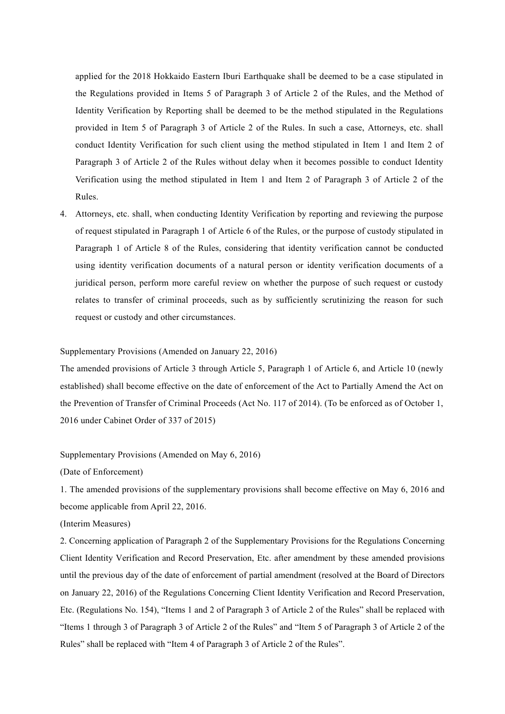applied for the 2018 Hokkaido Eastern Iburi Earthquake shall be deemed to be a case stipulated in the Regulations provided in Items 5 of Paragraph 3 of Article 2 of the Rules, and the Method of Identity Verification by Reporting shall be deemed to be the method stipulated in the Regulations provided in Item 5 of Paragraph 3 of Article 2 of the Rules. In such a case, Attorneys, etc. shall conduct Identity Verification for such client using the method stipulated in Item 1 and Item 2 of Paragraph 3 of Article 2 of the Rules without delay when it becomes possible to conduct Identity Verification using the method stipulated in Item 1 and Item 2 of Paragraph 3 of Article 2 of the Rules.

4. Attorneys, etc. shall, when conducting Identity Verification by reporting and reviewing the purpose of request stipulated in Paragraph 1 of Article 6 of the Rules, or the purpose of custody stipulated in Paragraph 1 of Article 8 of the Rules, considering that identity verification cannot be conducted using identity verification documents of a natural person or identity verification documents of a juridical person, perform more careful review on whether the purpose of such request or custody relates to transfer of criminal proceeds, such as by sufficiently scrutinizing the reason for such request or custody and other circumstances.

## Supplementary Provisions (Amended on January 22, 2016)

The amended provisions of Article 3 through Article 5, Paragraph 1 of Article 6, and Article 10 (newly established) shall become effective on the date of enforcement of the Act to Partially Amend the Act on the Prevention of Transfer of Criminal Proceeds (Act No. 117 of 2014). (To be enforced as of October 1, 2016 under Cabinet Order of 337 of 2015)

Supplementary Provisions (Amended on May 6, 2016)

(Date of Enforcement)

1. The amended provisions of the supplementary provisions shall become effective on May 6, 2016 and become applicable from April 22, 2016.

(Interim Measures)

2. Concerning application of Paragraph 2 of the Supplementary Provisions for the Regulations Concerning Client Identity Verification and Record Preservation, Etc. after amendment by these amended provisions until the previous day of the date of enforcement of partial amendment (resolved at the Board of Directors on January 22, 2016) of the Regulations Concerning Client Identity Verification and Record Preservation, Etc. (Regulations No. 154), "Items 1 and 2 of Paragraph 3 of Article 2 of the Rules" shall be replaced with "Items 1 through 3 of Paragraph 3 of Article 2 of the Rules" and "Item 5 of Paragraph 3 of Article 2 of the Rules" shall be replaced with "Item 4 of Paragraph 3 of Article 2 of the Rules".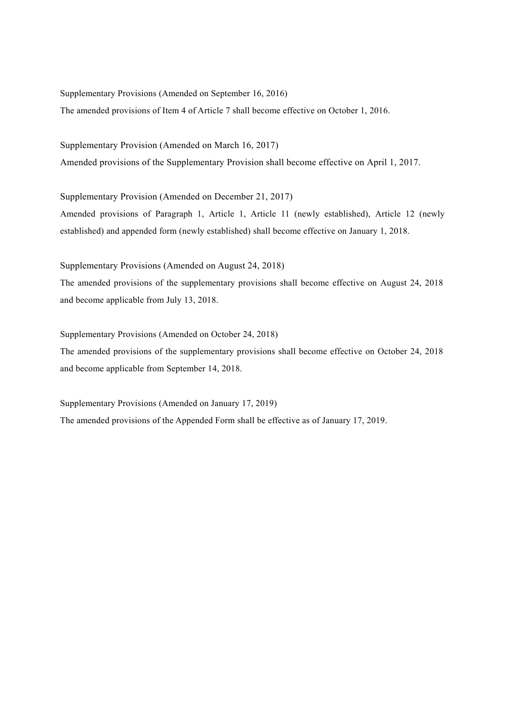Supplementary Provisions (Amended on September 16, 2016)

The amended provisions of Item 4 of Article 7 shall become effective on October 1, 2016.

Supplementary Provision (Amended on March 16, 2017) Amended provisions of the Supplementary Provision shall become effective on April 1, 2017.

Supplementary Provision (Amended on December 21, 2017) Amended provisions of Paragraph 1, Article 1, Article 11 (newly established), Article 12 (newly established) and appended form (newly established) shall become effective on January 1, 2018.

Supplementary Provisions (Amended on August 24, 2018)

The amended provisions of the supplementary provisions shall become effective on August 24, 2018 and become applicable from July 13, 2018.

Supplementary Provisions (Amended on October 24, 2018)

The amended provisions of the supplementary provisions shall become effective on October 24, 2018 and become applicable from September 14, 2018.

Supplementary Provisions (Amended on January 17, 2019) The amended provisions of the Appended Form shall be effective as of January 17, 2019.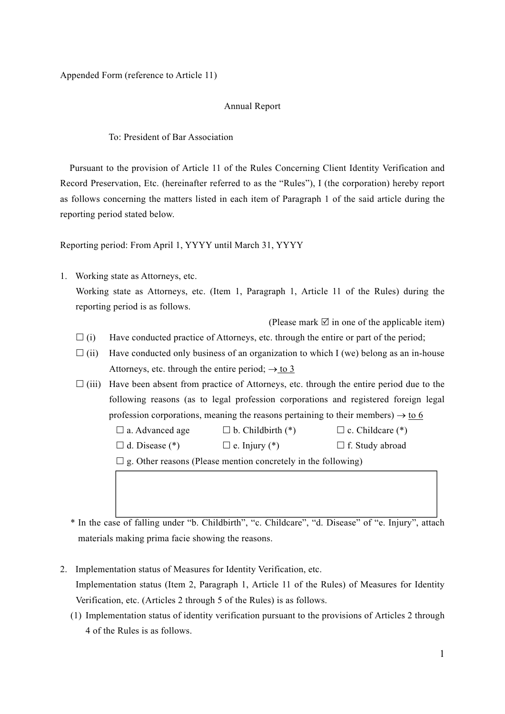Appended Form (reference to Article 11)

# Annual Report

To: President of Bar Association

Pursuant to the provision of Article 11 of the Rules Concerning Client Identity Verification and Record Preservation, Etc. (hereinafter referred to as the "Rules"), I (the corporation) hereby report as follows concerning the matters listed in each item of Paragraph 1 of the said article during the reporting period stated below.

Reporting period: From April 1, YYYY until March 31, YYYY

1. Working state as Attorneys, etc. Working state as Attorneys, etc. (Item 1, Paragraph 1, Article 11 of the Rules) during the reporting period is as follows.

(Please mark  $\Box$  in one of the applicable item)

- $\Box$  (i) Have conducted practice of Attorneys, etc. through the entire or part of the period;
- $\Box$  (ii) Have conducted only business of an organization to which I (we) belong as an in-house Attorneys, etc. through the entire period;  $\rightarrow$  to 3
- $\Box$  (iii) Have been absent from practice of Attorneys, etc. through the entire period due to the following reasons (as to legal profession corporations and registered foreign legal profession corporations, meaning the reasons pertaining to their members)  $\rightarrow$  to 6

 $\Box$  a. Advanced age  $\Box$  b. Childbirth (\*)  $\Box$  c. Childcare (\*)

 $\Box$  d. Disease (\*)  $\Box$  e. Injury (\*)  $\Box$  f. Study abroad

 $\Box$  g. Other reasons (Please mention concretely in the following)

\* In the case of falling under "b. Childbirth", "c. Childcare", "d. Disease" of "e. Injury", attach materials making prima facie showing the reasons.

- 2. Implementation status of Measures for Identity Verification, etc. Implementation status (Item 2, Paragraph 1, Article 11 of the Rules) of Measures for Identity Verification, etc. (Articles 2 through 5 of the Rules) is as follows.
	- (1) Implementation status of identity verification pursuant to the provisions of Articles 2 through 4 of the Rules is as follows.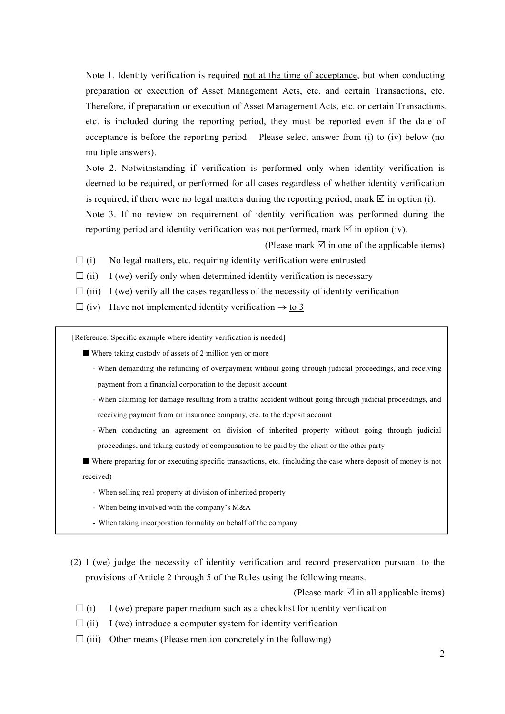Note 1. Identity verification is required not at the time of acceptance, but when conducting preparation or execution of Asset Management Acts, etc. and certain Transactions, etc. Therefore, if preparation or execution of Asset Management Acts, etc. or certain Transactions, etc. is included during the reporting period, they must be reported even if the date of acceptance is before the reporting period. Please select answer from (i) to (iv) below (no multiple answers).

Note 2. Notwithstanding if verification is performed only when identity verification is deemed to be required, or performed for all cases regardless of whether identity verification is required, if there were no legal matters during the reporting period, mark  $\boxtimes$  in option (i).

Note 3. If no review on requirement of identity verification was performed during the reporting period and identity verification was not performed, mark  $\boxtimes$  in option (iv).

(Please mark  $\mathbb Z$  in one of the applicable items)

- $(i)$  No legal matters, etc. requiring identity verification were entrusted
- $\Box$  (ii) I (we) verify only when determined identity verification is necessary
- $\Box$  (iii) I (we) verify all the cases regardless of the necessity of identity verification
- $\Box$  (iv) Have not implemented identity verification  $\rightarrow$  to 3

[Reference: Specific example where identity verification is needed]

- Where taking custody of assets of 2 million yen or more
	- When demanding the refunding of overpayment without going through judicial proceedings, and receiving payment from a financial corporation to the deposit account
	- When claiming for damage resulting from a traffic accident without going through judicial proceedings, and receiving payment from an insurance company, etc. to the deposit account
	- When conducting an agreement on division of inherited property without going through judicial proceedings, and taking custody of compensation to be paid by the client or the other party
- Where preparing for or executing specific transactions, etc. (including the case where deposit of money is not received)
	- When selling real property at division of inherited property
	- When being involved with the company's M&A
	- When taking incorporation formality on behalf of the company
- (2) I (we) judge the necessity of identity verification and record preservation pursuant to the provisions of Article 2 through 5 of the Rules using the following means.

(Please mark  $\overline{\emptyset}$  in all applicable items)

- $\Box$  (i) I (we) prepare paper medium such as a checklist for identity verification
- $\Box$  (ii) I (we) introduce a computer system for identity verification
- $\Box$  (iii) Other means (Please mention concretely in the following)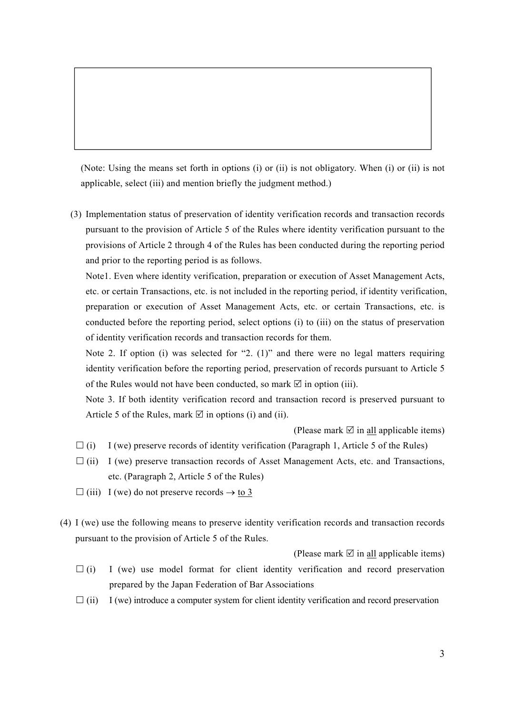(Note: Using the means set forth in options (i) or (ii) is not obligatory. When (i) or (ii) is not applicable, select (iii) and mention briefly the judgment method.)

(3) Implementation status of preservation of identity verification records and transaction records pursuant to the provision of Article 5 of the Rules where identity verification pursuant to the provisions of Article 2 through 4 of the Rules has been conducted during the reporting period and prior to the reporting period is as follows.

Note1. Even where identity verification, preparation or execution of Asset Management Acts, etc. or certain Transactions, etc. is not included in the reporting period, if identity verification, preparation or execution of Asset Management Acts, etc. or certain Transactions, etc. is conducted before the reporting period, select options (i) to (iii) on the status of preservation of identity verification records and transaction records for them.

Note 2. If option (i) was selected for "2. (1)" and there were no legal matters requiring identity verification before the reporting period, preservation of records pursuant to Article 5 of the Rules would not have been conducted, so mark  $\boxtimes$  in option (iii).

Note 3. If both identity verification record and transaction record is preserved pursuant to Article 5 of the Rules, mark  $\Box$  in options (i) and (ii).

(Please mark  $\boxtimes$  in all applicable items)

- $\Box$  (i) I (we) preserve records of identity verification (Paragraph 1, Article 5 of the Rules)
- $\Box$  (ii) I (we) preserve transaction records of Asset Management Acts, etc. and Transactions, etc. (Paragraph 2, Article 5 of the Rules)
- $\Box$  (iii) I (we) do not preserve records  $\rightarrow$  to 3
- (4) I (we) use the following means to preserve identity verification records and transaction records pursuant to the provision of Article 5 of the Rules.

(Please mark  $\Box$  in <u>all</u> applicable items)

- $\Box$  (i) I (we) use model format for client identity verification and record preservation prepared by the Japan Federation of Bar Associations
- $\Box$  (ii) I (we) introduce a computer system for client identity verification and record preservation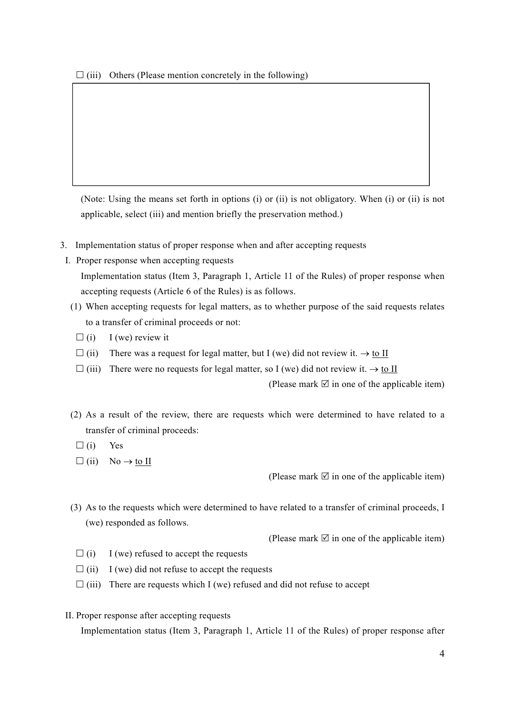(Note: Using the means set forth in options (i) or (ii) is not obligatory. When (i) or (ii) is not applicable, select (iii) and mention briefly the preservation method.)

- 3. Implementation status of proper response when and after accepting requests
- I. Proper response when accepting requests Implementation status (Item 3, Paragraph 1, Article 11 of the Rules) of proper response when accepting requests (Article 6 of the Rules) is as follows.
	- (1) When accepting requests for legal matters, as to whether purpose of the said requests relates to a transfer of criminal proceeds or not:
		- $\Box$  (i) I (we) review it
		- $\Box$  (ii) There was a request for legal matter, but I (we) did not review it.  $\rightarrow$  to II
		- $\Box$  (iii) There were no requests for legal matter, so I (we) did not review it.  $\rightarrow$  to II

(Please mark  $\boxtimes$  in one of the applicable item)

- (2) As a result of the review, there are requests which were determined to have related to a transfer of criminal proceeds:
	- $\Box$  (i) Yes
	- $\Box$  (ii) No  $\rightarrow$  to II

(Please mark  $\boxtimes$  in one of the applicable item)

(3) As to the requests which were determined to have related to a transfer of criminal proceeds, I (we) responded as follows.

(Please mark  $\mathbb Z$  in one of the applicable item)

- $\Box$  (i) I (we) refused to accept the requests
- $\Box$  (ii) I (we) did not refuse to accept the requests
- $\Box$  (iii) There are requests which I (we) refused and did not refuse to accept
- II. Proper response after accepting requests

Implementation status (Item 3, Paragraph 1, Article 11 of the Rules) of proper response after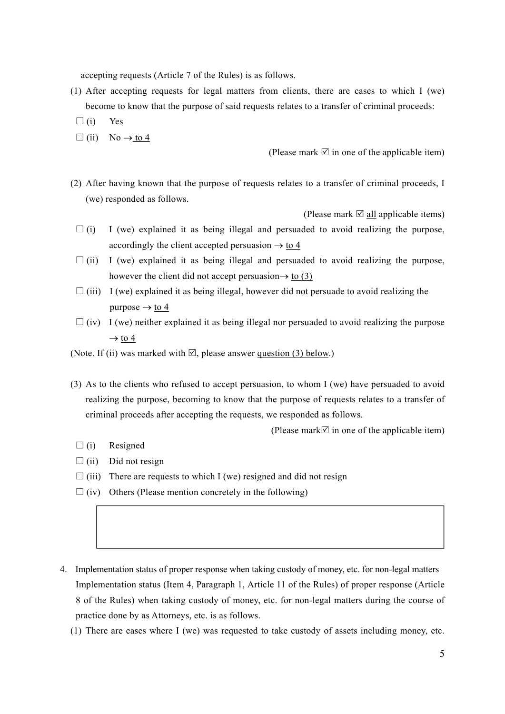accepting requests (Article 7 of the Rules) is as follows.

- (1) After accepting requests for legal matters from clients, there are cases to which I (we) become to know that the purpose of said requests relates to a transfer of criminal proceeds:
	- $\Box$  (i) Yes
- $\Box$  (ii) No  $\rightarrow$  to 4

(Please mark  $\mathbb Z$  in one of the applicable item)

(2) After having known that the purpose of requests relates to a transfer of criminal proceeds, I (we) responded as follows.

(Please mark  $\Box$  all applicable items)

- $\Box$  (i) I (we) explained it as being illegal and persuaded to avoid realizing the purpose, accordingly the client accepted persuasion  $\rightarrow$  to 4
- $\Box$  (ii) I (we) explained it as being illegal and persuaded to avoid realizing the purpose, however the client did not accept persuasion $\rightarrow$  to (3)
- $\Box$  (iii) I (we) explained it as being illegal, however did not persuade to avoid realizing the purpose  $\rightarrow$  to 4
- $\Box$  (iv) I (we) neither explained it as being illegal nor persuaded to avoid realizing the purpose  $\rightarrow$  to 4

(Note. If (ii) was marked with  $\mathbb{Z}$ , please answer question (3) below.)

(3) As to the clients who refused to accept persuasion, to whom I (we) have persuaded to avoid realizing the purpose, becoming to know that the purpose of requests relates to a transfer of criminal proceeds after accepting the requests, we responded as follows.

(Please mark  $\Box$  in one of the applicable item)

- $\Box$ (i) Resigned
- $\Box$  (ii) Did not resign
- $\Box$  (iii) There are requests to which I (we) resigned and did not resign
- $\Box$  (iv) Others (Please mention concretely in the following)
- 4. Implementation status of proper response when taking custody of money, etc. for non-legal matters Implementation status (Item 4, Paragraph 1, Article 11 of the Rules) of proper response (Article 8 of the Rules) when taking custody of money, etc. for non-legal matters during the course of practice done by as Attorneys, etc. is as follows.
	- (1) There are cases where I (we) was requested to take custody of assets including money, etc.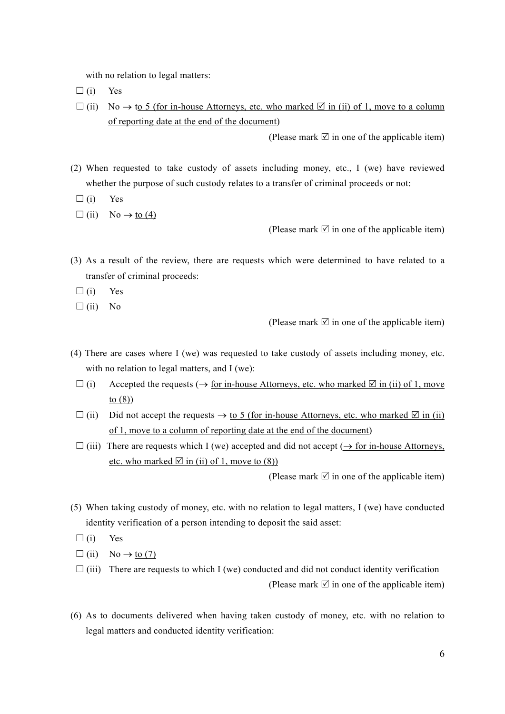with no relation to legal matters:

- $\Box$  (i) Yes
- $\Box$  (ii) No  $\rightarrow$  to 5 (for in-house Attorneys, etc. who marked  $\Box$  in (ii) of 1, move to a column of reporting date at the end of the document)

(Please mark  $\boxtimes$  in one of the applicable item)

- (2) When requested to take custody of assets including money, etc., I (we) have reviewed whether the purpose of such custody relates to a transfer of criminal proceeds or not:
	- $\Box$  (i) Yes
	- $\Box$  (ii) No  $\rightarrow$  to (4)

(Please mark  $\mathbb Z$  in one of the applicable item)

- (3) As a result of the review, there are requests which were determined to have related to a transfer of criminal proceeds:
	- $\Box$  (i) Yes
	- $\Box$ (ii) No

(Please mark  $\mathbb Z$  in one of the applicable item)

- (4) There are cases where I (we) was requested to take custody of assets including money, etc. with no relation to legal matters, and I (we):
	- $(i)$  Accepted the requests  $(\rightarrow$  for in-house Attorneys, etc. who marked  $\overline{\emptyset}$  in (ii) of 1, move to (8))
	- $\Box$  (ii) Did not accept the requests  $\rightarrow$  to 5 (for in-house Attorneys, etc. who marked  $\Box$  in (ii) of 1, move to a column of reporting date at the end of the document)
	- $\Box$  (iii) There are requests which I (we) accepted and did not accept ( $\rightarrow$  for in-house Attorneys, etc. who marked  $\boxtimes$  in (ii) of 1, move to (8))

(Please mark  $\boxtimes$  in one of the applicable item)

- (5) When taking custody of money, etc. with no relation to legal matters, I (we) have conducted identity verification of a person intending to deposit the said asset:
	- $\Box$  (i) Yes
	- $\Box$  (ii) No  $\rightarrow$  to (7)
	- $\Box$  (iii) There are requests to which I (we) conducted and did not conduct identity verification (Please mark  $\boxtimes$  in one of the applicable item)
- (6) As to documents delivered when having taken custody of money, etc. with no relation to legal matters and conducted identity verification: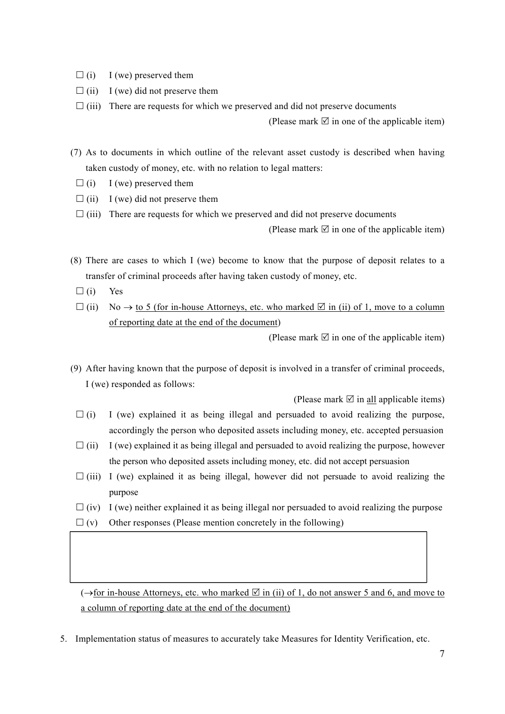- $\Box$  (i) I (we) preserved them
- $\Box$  (ii) I (we) did not preserve them
- $\Box$  (iii) There are requests for which we preserved and did not preserve documents

(Please mark  $\boxtimes$  in one of the applicable item)

- (7) As to documents in which outline of the relevant asset custody is described when having taken custody of money, etc. with no relation to legal matters:
	- $\Box$  (i) I (we) preserved them
	- $\Box$  (ii) I (we) did not preserve them
	- $\Box$  (iii) There are requests for which we preserved and did not preserve documents

(Please mark  $\overline{\emptyset}$  in one of the applicable item)

- (8) There are cases to which I (we) become to know that the purpose of deposit relates to a transfer of criminal proceeds after having taken custody of money, etc.
	- $\Box$  (i) Yes
	- $\Box$  (ii) No  $\rightarrow$  to 5 (for in-house Attorneys, etc. who marked  $\Box$  in (ii) of 1, move to a column of reporting date at the end of the document)

(Please mark  $\boxtimes$  in one of the applicable item)

(9) After having known that the purpose of deposit is involved in a transfer of criminal proceeds, I (we) responded as follows:

(Please mark  $\boxtimes$  in all applicable items)

- $\Box$  (i) I (we) explained it as being illegal and persuaded to avoid realizing the purpose, accordingly the person who deposited assets including money, etc. accepted persuasion
- $\Box$  (ii) I (we) explained it as being illegal and persuaded to avoid realizing the purpose, however the person who deposited assets including money, etc. did not accept persuasion
- $\Box$  (iii) I (we) explained it as being illegal, however did not persuade to avoid realizing the purpose
- $\Box$  (iv) I (we) neither explained it as being illegal nor persuaded to avoid realizing the purpose
- $\Box$  (v) Other responses (Please mention concretely in the following)

 $(\rightarrow$  for in-house Attorneys, etc. who marked  $\boxtimes$  in (ii) of 1, do not answer 5 and 6, and move to a column of reporting date at the end of the document)

5. Implementation status of measures to accurately take Measures for Identity Verification, etc.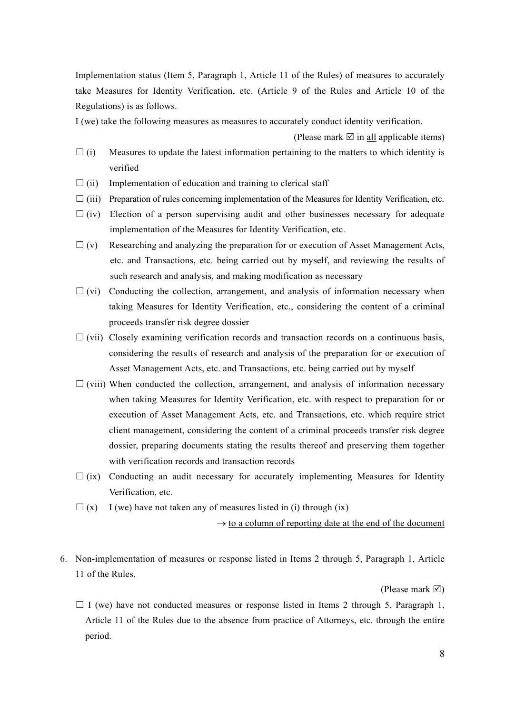Implementation status (Item 5, Paragraph 1, Article 11 of the Rules) of measures to accurately take Measures for Identity Verification, etc. (Article 9 of the Rules and Article 10 of the Regulations) is as follows.

I (we) take the following measures as measures to accurately conduct identity verification.

(Please mark  $\overline{\emptyset}$  in all applicable items)

- $(i)$  Measures to update the latest information pertaining to the matters to which identity is verified
- $\Box$  (ii) Implementation of education and training to clerical staff
- $\Box$  (iii) Preparation of rules concerning implementation of the Measures for Identity Verification, etc.
- $\Box$  (iv) Election of a person supervising audit and other businesses necessary for adequate implementation of the Measures for Identity Verification, etc.
- $\Box$  (v) Researching and analyzing the preparation for or execution of Asset Management Acts, etc. and Transactions, etc. being carried out by myself, and reviewing the results of such research and analysis, and making modification as necessary
- $\Box$  (vi) Conducting the collection, arrangement, and analysis of information necessary when taking Measures for Identity Verification, etc., considering the content of a criminal proceeds transfer risk degree dossier
- $\Box$  (vii) Closely examining verification records and transaction records on a continuous basis, considering the results of research and analysis of the preparation for or execution of Asset Management Acts, etc. and Transactions, etc. being carried out by myself
- $\Box$  (viii) When conducted the collection, arrangement, and analysis of information necessary when taking Measures for Identity Verification, etc. with respect to preparation for or execution of Asset Management Acts, etc. and Transactions, etc. which require strict client management, considering the content of a criminal proceeds transfer risk degree dossier, preparing documents stating the results thereof and preserving them together with verification records and transaction records
- $\Box$  (ix) Conducting an audit necessary for accurately implementing Measures for Identity Verification, etc.
- $\Box$  (x) I (we) have not taken any of measures listed in (i) through (ix)

 $\rightarrow$  to a column of reporting date at the end of the document

6. Non-implementation of measures or response listed in Items 2 through 5, Paragraph 1, Article 11 of the Rules.

(Please mark  $\boxtimes$ )

 $\Box$  I (we) have not conducted measures or response listed in Items 2 through 5, Paragraph 1, Article 11 of the Rules due to the absence from practice of Attorneys, etc. through the entire period.